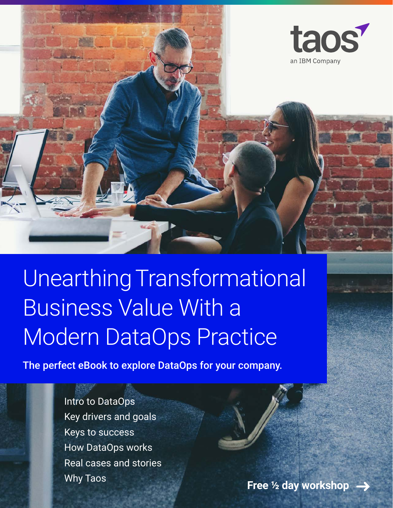

Unearthing Transformational Business Value With a Modern DataOps Practice

The perfect eBook to explore DataOps for your company.

[Intro to DataOps](#page-1-0) [Key drivers and goals](#page-3-0) [Keys to success](#page-4-0) [How DataOps works](#page-6-0) [Real cases and stories](#page-7-0)

[Why Taos](#page-10-0) **Free 1/2 day workshop**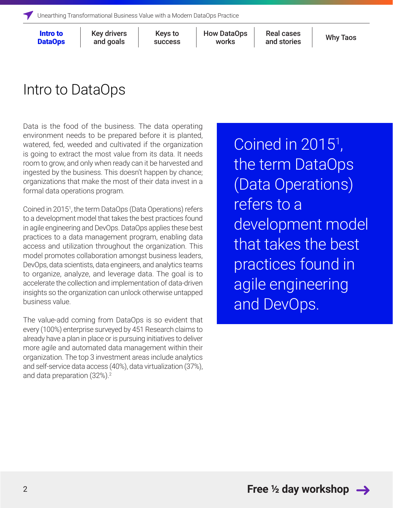[Key drivers](#page-3-0) and goals

[success](#page-4-0)

Keys to How DataOps Real cases [Why Taos](#page-10-0)<br>Nuesses Works and staries Why Taos works

Real cases [and stories](#page-7-0)

### <span id="page-1-0"></span>Intro to DataOps

Data is the food of the business. The data operating environment needs to be prepared before it is planted, watered, fed, weeded and cultivated if the organization is going to extract the most value from its data. It needs room to grow, and only when ready can it be harvested and ingested by the business. This doesn't happen by chance; organizations that make the most of their data invest in a formal data operations program.

Coined in 20151 , the term DataOps (Data Operations) refers to a development model that takes the best practices found in agile engineering and DevOps. DataOps applies these best practices to a data management program, enabling data access and utilization throughout the organization. This model promotes collaboration amongst business leaders, DevOps, data scientists, data engineers, and analytics teams to organize, analyze, and leverage data. The goal is to accelerate the collection and implementation of data-driven insights so the organization can unlock otherwise untapped business value.

The value-add coming from DataOps is so evident that every (100%) enterprise surveyed by 451 Research claims to already have a plan in place or is pursuing initiatives to deliver more agile and automated data management within their organization. The top 3 investment areas include analytics and self-service data access (40%), data virtualization (37%), and data preparation (32%).<sup>2</sup>

Coined in 2015<sup>1</sup>, , the term DataOps (Data Operations) refers to a development model that takes the best practices found in agile engineering and DevOps.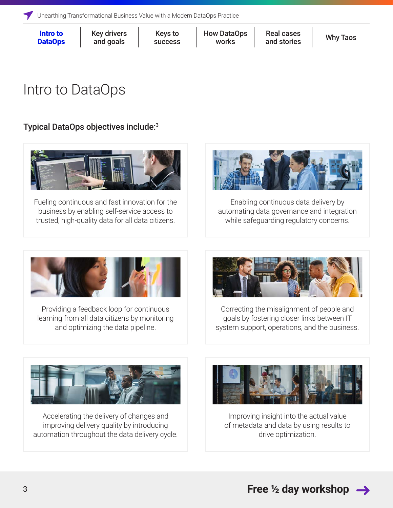[Key drivers](#page-3-0) and goals

[success](#page-4-0)

Keys to How DataOps Real cases [Why Taos](#page-10-0)<br>Nuesses Works and staries Why Taos works

Real cases [and stories](#page-7-0)

# Intro to DataOps

### Typical DataOps objectives include:3



Fueling continuous and fast innovation for the business by enabling self-service access to trusted, high-quality data for all data citizens.



Enabling continuous data delivery by automating data governance and integration while safeguarding regulatory concerns.



Providing a feedback loop for continuous learning from all data citizens by monitoring and optimizing the data pipeline.



Correcting the misalignment of people and goals by fostering closer links between IT system support, operations, and the business.



Accelerating the delivery of changes and improving delivery quality by introducing automation throughout the data delivery cycle.



Improving insight into the actual value of metadata and data by using results to drive optimization.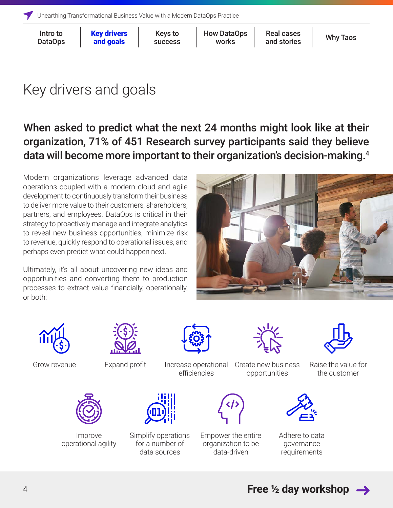Key drivers and goals

[success](#page-4-0)

Keys to How DataOps Real cases [Why Taos](#page-10-0) works

Real cases [and stories](#page-7-0)

# <span id="page-3-0"></span>Key drivers and goals

When asked to predict what the next 24 months might look like at their organization, 71% of 451 Research survey participants said they believe data will become more important to their organization's decision-making.4

Modern organizations leverage advanced data operations coupled with a modern cloud and agile development to continuously transform their business to deliver more value to their customers, shareholders, partners, and employees. DataOps is critical in their strategy to proactively manage and integrate analytics to reveal new business opportunities, minimize risk to revenue, quickly respond to operational issues, and perhaps even predict what could happen next.

Ultimately, it's all about uncovering new ideas and opportunities and converting them to production processes to extract value financially, operationally, or both:







Grow revenue **Expand profit** Increase operational efficiencies

Create new business opportunities

Raise the value for the customer



Improve operational agility



Simplify operations for a number of data sources



Empower the entire organization to be data-driven



Adhere to data governance requirements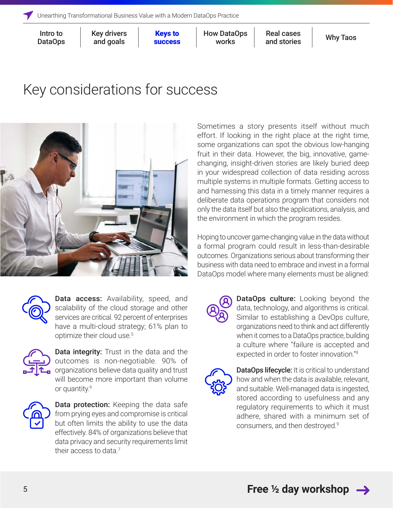[Key drivers](#page-3-0) and goals

success

**Keys to** How DataOps Real cases [Why Taos](#page-10-0) works

Real cases [and stories](#page-7-0)

### <span id="page-4-0"></span>Key considerations for success



Sometimes a story presents itself without much effort. If looking in the right place at the right time, some organizations can spot the obvious low-hanging fruit in their data. However, the big, innovative, gamechanging, insight-driven stories are likely buried deep in your widespread collection of data residing across multiple systems in multiple formats. Getting access to and harnessing this data in a timely manner requires a deliberate data operations program that considers not only the data itself but also the applications, analysis, and the environment in which the program resides.

Hoping to uncover game-changing value in the data without a formal program could result in less-than-desirable outcomes. Organizations serious about transforming their business with data need to embrace and invest in a formal DataOps model where many elements must be aligned:



Data access: Availability, speed, and scalability of the cloud storage and other services are critical. 92 percent of enterprises have a multi-cloud strategy; 61% plan to optimize their cloud use.5



Data integrity: Trust in the data and the outcomes is non-negotiable. 90% of organizations believe data quality and trust will become more important than volume or quantity.6



Data protection: Keeping the data safe from prying eyes and compromise is critical but often limits the ability to use the data effectively. 84% of organizations believe that data privacy and security requirements limit their access to data.<sup>7</sup>



DataOps culture: Looking beyond the data, technology, and algorithms is critical. Similar to establishing a DevOps culture, organizations need to think and act differently when it comes to a DataOps practice, building a culture where "failure is accepted and expected in order to foster innovation."8



DataOps lifecycle: It is critical to understand how and when the data is available, relevant, and suitable. Well-managed data is ingested, stored according to usefulness and any regulatory requirements to which it must adhere, shared with a minimum set of consumers, and then destroyed.9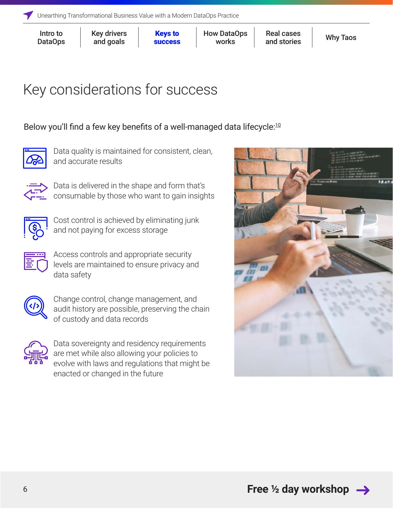[Key drivers](#page-3-0) and goals

[success](#page-4-0)

**Keys to** How DataOps Real cases [Why Taos](#page-10-0) works

Real cases [and stories](#page-7-0)

# Key considerations for success

### Below you'll find a few key benefits of a well-managed data lifecycle:<sup>[10](https://www.taos.com/resources/blog/data-blog-1-the-four-pillars-of-the-data-landing-zone/)</sup>



Data quality is maintained for consistent, clean, and accurate results



Data is delivered in the shape and form that's consumable by those who want to gain insights



Cost control is achieved by eliminating junk and not paying for excess storage

Access controls and appropriate security levels are maintained to ensure privacy and data safety



Change control, change management, and audit history are possible, preserving the chain of custody and data records



Data sovereignty and residency requirements are met while also allowing your policies to evolve with laws and regulations that might be enacted or changed in the future

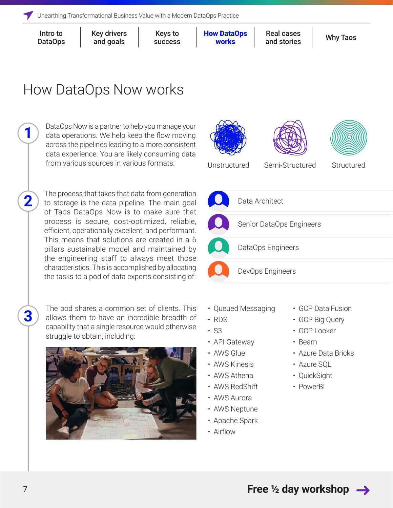**1**

**2**

**3**

[Key drivers](#page-3-0) and goals

[success](#page-4-0)

Keys to **How DataOps** Real cases [Why Taos](#page-10-0) works

Real cases [and stories](#page-7-0)

# <span id="page-6-0"></span>How DataOps Now works

DataOps Now is a partner to help you manage your data operations. We help keep the flow moving across the pipelines leading to a more consistent data experience. You are likely consuming data from various sources in various formats:

The process that takes that data from generation to storage is the data pipeline. The main goal of Taos DataOps Now is to make sure that process is secure, cost-optimized, reliable, efficient, operationally excellent, and performant. This means that solutions are created in a 6 pillars sustainable model and maintained by the engineering staff to always meet those characteristics. This is accomplished by allocating the tasks to a pod of data experts consisting of:

The pod shares a common set of clients. This allows them to have an incredible breadth of capability that a single resource would otherwise struggle to obtain, including:







- Queued Messaging
- RDS
- S3
- API Gateway
- AWS Glue
- AWS Kinesis
- AWS Athena
- AWS RedShift
- AWS Aurora
- AWS Neptune
- Apache Spark
- Airflow
- GCP Data Fusion
- GCP Big Query
- GCP Looker
- Beam
- Azure Data Bricks
- Azure SQL
- QuickSight
- PowerBI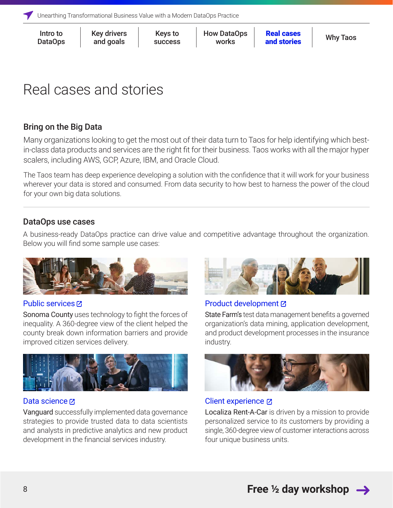<span id="page-7-0"></span>

| Intro to | <b>Key drivers</b> | <b>Keys to</b> | <b>How DataOps</b> | <b>Real cases</b> | <b>Why Taos</b> |
|----------|--------------------|----------------|--------------------|-------------------|-----------------|
| DataOps  | and goals          | <b>SUCCESS</b> | works              | and stories       |                 |
|          |                    |                |                    |                   |                 |

### Real cases and stories

### Bring on the Big Data

Many organizations looking to get the most out of their data turn to Taos for help identifying which bestin-class data products and services are the right fit for their business. Taos works with all the major hyper scalers, including AWS, GCP, Azure, IBM, and Oracle Cloud.

The Taos team has deep experience developing a solution with the confidence that it will work for your business wherever your data is stored and consumed. From data security to how best to harness the power of the cloud for your own big data solutions.

### DataOps use cases

A business-ready DataOps practice can drive value and competitive advantage throughout the organization. Below you will find some sample use cases:



#### [Public services](https://www.ibm.com/analytics/dataops/interactive-guide/use-cases/public-services.html)<sub>[2]</sub>

Sonoma County uses technology to fight the forces of inequality. A 360-degree view of the client helped the county break down information barriers and provide improved citizen services delivery.



#### [Data science](https://www.ibm.com/analytics/dataops/interactive-guide/use-cases/data-science.html)<sub>[2]</sub>

Vanguard successfully implemented data governance strategies to provide trusted data to data scientists and analysts in predictive analytics and new product development in the financial services industry.



#### [Product development](https://www.ibm.com/analytics/dataops/interactive-guide/use-cases/product-development.html)

State Farm's test data management benefits a governed organization's data mining, application development, and product development processes in the insurance industry.



[Client experience](https://www.ibm.com/analytics/dataops/interactive-guide/use-cases/client-experience.html)  $\boxtimes$ 

Localiza Rent-A-Car is driven by a mission to provide personalized service to its customers by providing a single, 360-degree view of customer interactions across four unique business units.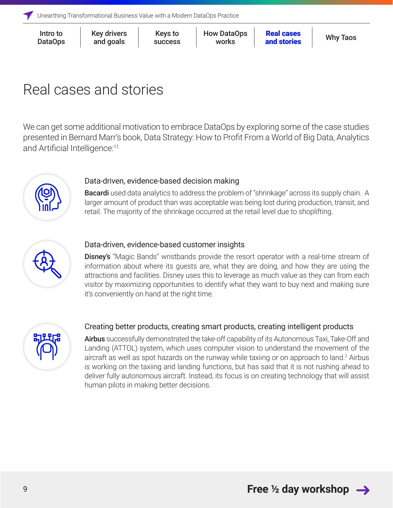| Intro to       |  |
|----------------|--|
| <b>DataOps</b> |  |

[success](#page-4-0)

Keys to [How DataOps](#page-6-0) **Real cases** [Why Taos](#page-10-0) works

## Real cases and stories

We can get some additional motivation to embrace DataOps by exploring some of the case studies presented in Bernard Marr's book, Data Strategy: How to Profit From a World of Big Data, Analytics and Artificial Intelligence:<sup>11</sup>



#### Data-driven, evidence-based decision making

**Bacardi** used data analytics to address the problem of "shrinkage" across its supply chain. A larger amount of product than was acceptable was being lost during production, transit, and retail. The majority of the shrinkage occurred at the retail level due to shoplifting.



#### Data-driven, evidence-based customer insights

**Disney's** "Magic Bands" wristbands provide the resort operator with a real-time stream of information about where its guests are, what they are doing, and how they are using the attractions and facilities. Disney uses this to leverage as much value as they can from each visitor by maximizing opportunities to identify what they want to buy next and making sure it's conveniently on hand at the right time.



#### Creating better products, creating smart products, creating intelligent products

Airbus successfully demonstrated the take-off capability of its Autonomous Taxi, Take-Off and Landing (ATTOL) system, which uses computer vision to understand the movement of the aircraft as well as spot hazards on the runway while taxiing or on approach to land.<sup>2</sup> Airbus is working on the taxiing and landing functions, but has said that it is not rushing ahead to deliver fully autonomous aircraft. Instead, its focus is on creating technology that will assist human pilots in making better decisions.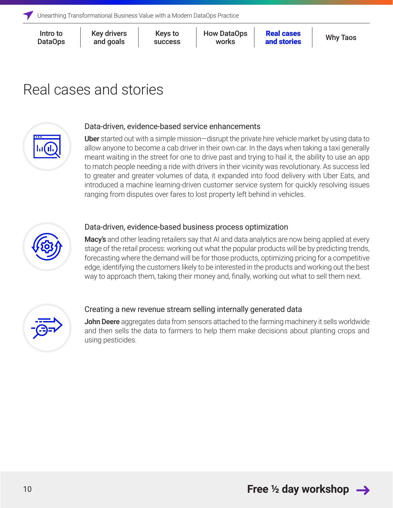[Key drivers](#page-3-0) and goals

[success](#page-4-0)

Keys to [How DataOps](#page-6-0) **Real cases** [Why Taos](#page-10-0) works

Real cases [and stories](#page-7-0)

### Real cases and stories



#### Data-driven, evidence-based service enhancements

Uber started out with a simple mission—disrupt the private hire vehicle market by using data to allow anyone to become a cab driver in their own car. In the days when taking a taxi generally meant waiting in the street for one to drive past and trying to hail it, the ability to use an app to match people needing a ride with drivers in their vicinity was revolutionary. As success led to greater and greater volumes of data, it expanded into food delivery with Uber Eats, and introduced a machine learning-driven customer service system for quickly resolving issues ranging from disputes over fares to lost property left behind in vehicles.



#### Data-driven, evidence-based business process optimization

Macy's and other leading retailers say that AI and data analytics are now being applied at every stage of the retail process: working out what the popular products will be by predicting trends, forecasting where the demand will be for those products, optimizing pricing for a competitive edge, identifying the customers likely to be interested in the products and working out the best way to approach them, taking their money and, finally, working out what to sell them next.



#### Creating a new revenue stream selling internally generated data

**John Deere** aggregates data from sensors attached to the farming machinery it sells worldwide and then sells the data to farmers to help them make decisions about planting crops and using pesticides.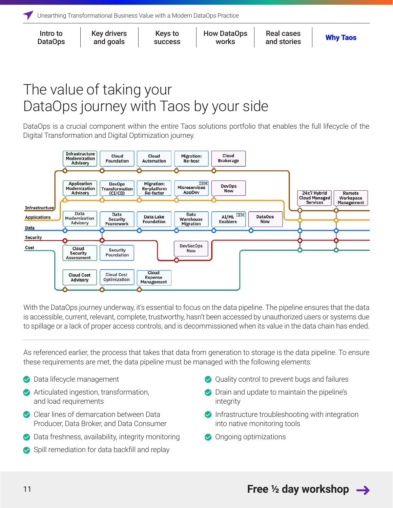<span id="page-10-0"></span>

| Intro to | <b>Key drivers</b> | <b>Keys to</b> | <b>How DataOps</b> | <b>Real cases</b> | <b>Why Taos</b> |
|----------|--------------------|----------------|--------------------|-------------------|-----------------|
| DataOps  | and goals          | <b>SUCCESS</b> | <b>works</b>       | and stories       |                 |
|          |                    |                |                    |                   |                 |

### The value of taking your DataOps journey with Taos by your side

DataOps is a crucial component within the entire Taos solutions portfolio that enables the full lifecycle of the Digital Transformation and Digital Optimization journey.



With the DataOps journey underway, it's essential to focus on the data pipeline. The pipeline ensures that the data is accessible, current, relevant, complete, trustworthy, hasn't been accessed by unauthorized users or systems due to spillage or a lack of proper access controls, and is decommissioned when its value in the data chain has ended.

As referenced earlier, the process that takes that data from generation to storage is the data pipeline. To ensure these requirements are met, the data pipeline must be managed with the following elements:

- Data lifecycle management
- Articulated ingestion, transformation, and load requirements
- Clear lines of demarcation between Data Producer, Data Broker, and Data Consumer
- ◆ Data freshness, availability, integrity monitoring
- Spill remediation for data backfill and replay
- Quality control to prevent bugs and failures
- **◯** Drain and update to maintain the pipeline's integrity
- $\triangleright$  Infrastructure troubleshooting with integration into native monitoring tools
- **◆** Ongoing optimizations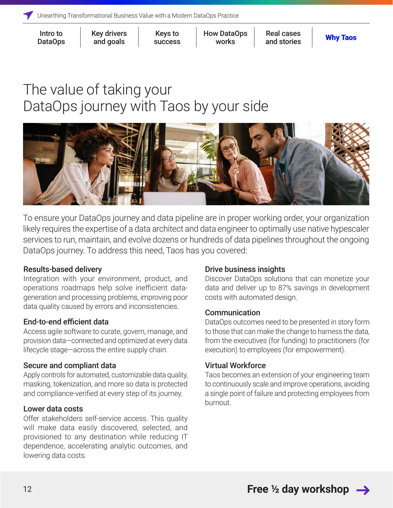[Key drivers](#page-3-0) and goals

[success](#page-4-0)

Keys to [How DataOps](#page-6-0) Real cases<br>Nuesses Nuerke and staries **[Why Taos](#page-10-0)** works

Real cases [and stories](#page-7-0)

### The value of taking your DataOps journey with Taos by your side



To ensure your DataOps journey and data pipeline are in proper working order, your organization likely requires the expertise of a data architect and data engineer to optimally use native hypescaler services to run, maintain, and evolve dozens or hundreds of data pipelines throughout the ongoing DataOps journey. To address this need, Taos has you covered:

#### Results-based delivery

Integration with your environment, product, and operations roadmaps help solve inefficient datageneration and processing problems, improving poor data quality caused by errors and inconsistencies.

#### End-to-end efficient data

Access agile software to curate, govern, manage, and provision data—connected and optimized at every data lifecycle stage—across the entire supply chain.

#### Secure and compliant data

Apply controls for automated, customizable data quality, masking, tokenization, and more so data is protected and compliance-verified at every step of its journey.

#### Lower data costs

Offer stakeholders self-service access. This quality will make data easily discovered, selected, and provisioned to any destination while reducing IT dependence, accelerating analytic outcomes, and lowering data costs.

#### Drive business insights

Discover DataOps solutions that can monetize your data and deliver up to 87% savings in development costs with automated design.

#### Communication

DataOps outcomes need to be presented in story form to those that can make the change to harness the data, from the executives (for funding) to practitioners (for execution) to employees (for empowerment).

#### Virtual Workforce

Taos becomes an extension of your engineering team to continuously scale and improve operations, avoiding a single point of failure and protecting employees from burnout.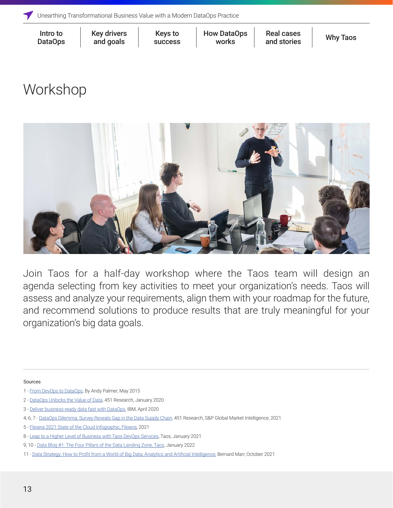[Key drivers](#page-3-0) and goals

[success](#page-4-0)

Keys to How DataOps Real cases [Why Taos](#page-10-0)<br>Nuesses Works and staries Why Taos works

Real cases [and stories](#page-7-0)

### <span id="page-12-0"></span>Workshop



Join Taos for a half-day workshop where the Taos team will design an agenda selecting from key activities to meet your organization's needs. Taos will assess and analyze your requirements, align them with your roadmap for the future, and recommend solutions to produce results that are truly meaningful for your organization's big data goals.

Sources

<sup>1 -</sup> [From DevOps to DataOps,](https://www.tamr.com/blog/from-devops-to-dataops-by-andy-palmer/) By Andy Palmer, May 2015

<sup>2 -</sup> [DataOps Unlocks the Value of Data,](https://www.ciosummits.com/Online_Assets_Hitachi_Vantara_DataOps_Unlocks_Value_of_Data.pdf) 451 Research, January 2020

<sup>3 -</sup> [Deliver business-ready data fast with DataOps](https://www.ibm.com/downloads/cas/APM14B8J), IBM, April 2020

<sup>4, 6, 7 -</sup> [DataOps Dilemma: Survey Reveals Gap in the Data Supply Chain](https://insidebigdata.com/wp-content/uploads/2021/09/451_Research_Report_DataOps_Dilemma_Survey_Reveals_Gap_in_the_Data_Sup.pdf), 451 Research, S&P Global Market Intelligence, 2021

<sup>5 -</sup> [Flexera 2021 State of the Cloud Infographic, Flexera](https://www.flexera.com/sites/default/files/infographic-cm-sotc-turbulence-in-the-cloud.pdf), 2021

<sup>8 -</sup> [Leap to a Higher Level of Business with Taos DevOps Services](https://www.taos.com/resources/blog/leap-to-a-higher-level-of-business-with-taos-devops-services/), Taos, January 2021

<sup>9, 10 -</sup> [Data Blog #1: The Four Pillars of the Data Landing Zone, Taos,](https://www.taos.com/resources/blog/data-blog-1-the-four-pillars-of-the-data-landing-zone/) January 2022

<sup>11 -</sup> [Data Strategy: How to Profit from a World of Big Data, Analytics and Artificial Intelligence](https://www.goodreads.com/book/show/56849140-data-strategy), Bernard Marr, October 2021